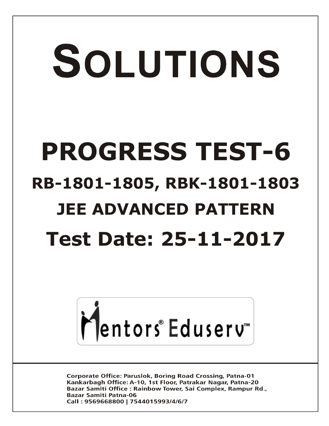# SOLUTIONS **PROGRESS TEST-6 RB-1801-1805, RBK-1801-1803 JEE ADVANCED PATTERN Test Date: 25-11-2017**



**Corporate Office: Paruslok, Boring Road Crossing, Patna-01** Kankarbagh Office: A-10, 1st Floor, Patrakar Nagar, Patna-20 Bazar Samiti Office: Rainbow Tower, Sai Complex, Rampur Rd., **Bazar Samiti Patna-06** Call: 9569668800 | 7544015993/4/6/7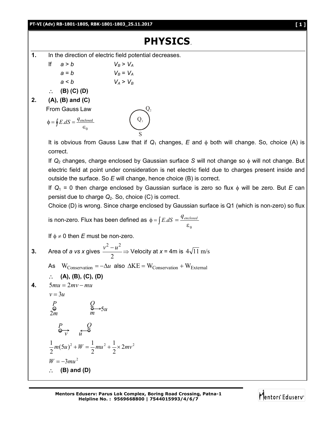#### **PT-VI (Adv) RB-1801-1805, RBK-1801-1803\_25.11.2017 [ 1 ]**

## **PHYSICS**.

 $\mathbf{Q}_2$ 

- **1.** In the direction of electric field potential decreases.
	- If  $a > b$   $V_B > V_A$  $a = b$   $V_B = V_A$ 
		- $a < b$   $V_A > V_B$
	- **(B) (C) (D)**

### **2. (A), (B) and (C)**

From Gauss Law

$$
\phi = \oint E.dS = \frac{q_{\text{enclosed}}}{\epsilon_0} \qquad \qquad Q_1
$$

It is obvious from Gauss Law that if  $Q_1$  changes,  $E$  and  $\phi$  both will change. So, choice (A) is correct.

If *Q*<sup>2</sup> changes, charge enclosed by Gaussian surface *S* will not change so will not change. But electric field at point under consideration is net electric field due to charges present inside and outside the surface. So *E* will change, hence choice (B) is correct.

If  $Q_1 = 0$  then charge enclosed by Gaussian surface is zero so flux  $\phi$  will be zero. But *E* can persist due to charge *Q*2. So, choice (C) is correct.

Choice (D) is wrong. Since charge enclosed by Gaussian surface is Q1 (which is non-zero) so flux

is non-zero. Flux has been defined as 
$$
\phi = \int E \cdot dS = \frac{q_{enclosed}}{\varepsilon_0}
$$

If  $\phi \neq 0$  then *E* must be non-zero.

3. Area of *a* vs *x* gives 
$$
\frac{v^2 - u^2}{2} \Rightarrow
$$
 Velocity at *x* = 4m is  $4\sqrt{11}$  m/s

As  $W_{Conservation} = -\Delta u$  also  $\Delta KE = W_{Conservation} + W_{External}$ 

$$
\therefore (A), (B), (C), (D)
$$

$$
4. \qquad 5mu = 2mv - mu
$$

 $2m$ 

$$
v = 3u
$$
  
\n
$$
P
$$
  
\n
$$
Q
$$
  
\n
$$
Q \rightarrow 5u
$$

$$
\overline{m}
$$

$$
\underline{P} \qquad \qquad \underline{Q}
$$

$$
v \overline{u}
$$
  
\n
$$
\frac{1}{2}m(5u)^{2} + W = \frac{1}{2}mu^{2} + \frac{1}{2} \times 2mv^{2}
$$
  
\n
$$
W = -3mu^{2}
$$

$$
\therefore
$$
 (B) and (D)

**Mentors Eduserv: Parus Lok Complex, Boring Road Crossing, Patna-1 Helpline No. : 9569668800 | 7544015993/4/6/7**

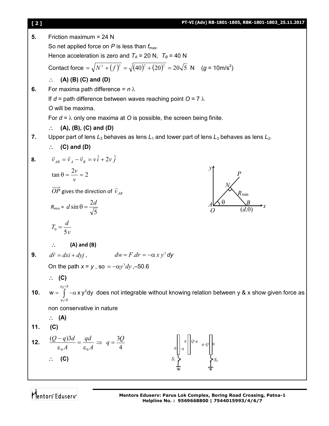| [2] | PT-VI (Adv) RB-1801-1805, RBK-1801-1803_25.11.2017                                                                                  |
|-----|-------------------------------------------------------------------------------------------------------------------------------------|
| 5.  | Friction maximum = $24$ N                                                                                                           |
|     | So net applied force on $P$ is less than $f_{\text{max}}$ .                                                                         |
|     | Hence acceleration is zero and $T_A = 20$ N, $T_B = 40$ N                                                                           |
|     | Contact force = $\sqrt{N^2 + (f)^2} = \sqrt{(40)^2 + (20)^2} = 20\sqrt{5}$ N (g = 10m/s <sup>2</sup> )                              |
|     | $(A)$ (B) $(C)$ and $(D)$<br>$\ddot{\cdot}$                                                                                         |
| 6.  | For maxima path difference = $n \lambda$                                                                                            |
|     | If $d =$ path difference between waves reaching point $O = 7 \lambda$                                                               |
|     | O will be maxima.                                                                                                                   |
|     | For $d = \lambda$ only one maxima at O is possible, the screen being finite.                                                        |
|     | $(A), (B), (C)$ and $(D)$<br>$\ddot{\cdot}$                                                                                         |
| 7.  | Upper part of lens $L_3$ behaves as lens $L_1$ and lower part of lens $L_3$ behaves as lens $L_2$ .                                 |
|     | $\therefore$ (C) and (D)                                                                                                            |
| 8.  | $\vec{v}_{AB} = \vec{v}_A - \vec{v}_B = v \hat{i} + 2v \hat{j}$                                                                     |
|     | $\tan \theta = \frac{2v}{v} = 2$                                                                                                    |
|     |                                                                                                                                     |
|     | $\overrightarrow{OP}$ gives the direction of $\overrightarrow{v}_{AB}$<br>$R_{\rm min}$                                             |
|     | $R_{\min} = d \sin \theta = \frac{2d}{\sqrt{5}}$                                                                                    |
|     | $T_0 = \frac{d}{5v}$                                                                                                                |
|     | $(A)$ and $(B)$                                                                                                                     |
| 9.  | $dw = F dr = -\alpha x y^2 dy$<br>$d\vec{r} = dx\vec{i} + dy\vec{j}$ ,                                                              |
|     | On the path $x = y$ , so $= -\alpha y^3 dy$ , -50.6                                                                                 |
|     | $\therefore$ (C)                                                                                                                    |
|     |                                                                                                                                     |
| 10. | $w = \int_{0}^{y_2=3} -\alpha x y^2 dy$ does not integrable without knowing relation between y & x show given force as<br>$y_1 = 0$ |
|     | non conservative in nature                                                                                                          |
|     | $\therefore$ (A)                                                                                                                    |
| 11. | (C)                                                                                                                                 |
| 12. |                                                                                                                                     |
|     | $\frac{(Q-q)3d}{\epsilon_0 A} = \frac{qd}{\epsilon_0 A} \Rightarrow q = \frac{3Q}{4}$                                               |
|     | $S_1 \rightarrow S_2$<br>(C)                                                                                                        |
|     |                                                                                                                                     |
|     |                                                                                                                                     |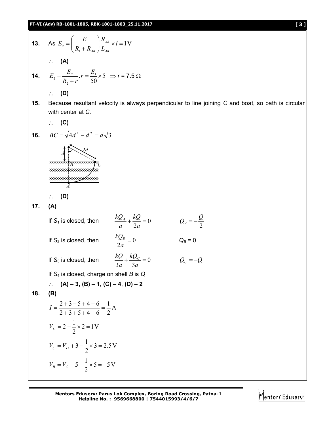13. As 
$$
E_z = \left(\frac{E_z}{R_1 + R_{dd}}\right) \frac{R_{dd}}{L_{dd}} \times I = 1 \text{ V}
$$
  
\n $\therefore$  (A)  
\n14.  $E_z = \frac{E_z}{R_1 + r} \cdot r = \frac{E_1}{50} \times 5 \implies r = 7.5 \Omega$   
\n $\therefore$  (D)  
\n15. Because resultant velocity is always perpendicular to line joining C and boat, so path is circular  
\nwith center at C.  
\n(C)  
\n16.  $BC = \sqrt{4d^2 - d^2} = d\sqrt{3}$   
\n $\therefore$  (D)  
\n17. (A)  
\n17. (A)  
\n17. (A)  
\n17. (B)  
\n17. (A)  
\n17. (B)  
\n17. (B)  
\n17. (C)  
\n18. is closed, then  $\frac{kQ_d}{a} + \frac{kQ}{2a} = 0$   $Q_a = -\frac{Q}{2}$   
\n18. (B) also  
\n $\therefore$  (A) = 3, (B) = 1, (C) = 4, (D) = 2  
\n18. (B)  
\n $I = \frac{2+3-5+4+6}{2+3+3+4+6} = \frac{1}{2} \text{ A}$   
\n $V_p = 2 - \frac{1}{2} \times 2 = 1 \text{ V}$   
\n $V_c = V_p + 3 - \frac{1}{2} \times 5 = 2.5 \text{ V}$   
\n $V_p = V_c - 5 - \frac{1}{2} \times 5 = -5 \text{ V}$ 

**Mentors Eduserv: Parus Lok Complex, Boring Road Crossing, Patna-1 Helpline No. : 9569668800 | 7544015993/4/6/7**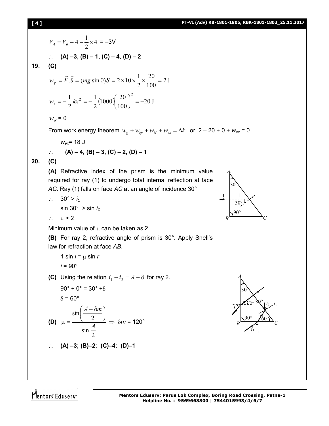## **[ 4 ] PT-VI (Adv) RB-1801-1805, RBK-1801-1803\_25.11.2017**

$$
V_A = V_B + 4 - \frac{1}{2} \times 4 = -3\sqrt{2}
$$
  
\n
$$
\therefore (A) -3, (B) - 1, (C) - 4, (D) - 2
$$
  
\n19. (C)  
\n
$$
w_g = \vec{F} \cdot \vec{S} = (mg \sin \theta)S = 2 \times 10 \times \frac{1}{2} \times \frac{20}{100} = 2 \text{ J}
$$
  
\n
$$
w_s = -\frac{1}{2} kx^2 = -\frac{1}{2} (1000) \left(\frac{20}{100}\right)^2 = -20 \text{ J}
$$
  
\n
$$
w_N = 0
$$
  
\nFrom work energy theorem  $w_g + w_{sg} + w_{sg} + w_{sg} + w_{sg} = \Delta k$  or  $2 - 20 + 0 + w_{ex} = 0$   
\n
$$
w_{ex} = 18 \text{ J}
$$
  
\n
$$
\therefore (A) -4, (B) -3, (C) -2, (D) -1
$$
  
\n20. (C)  
\n(A) Refractive index of the prism is the minimum value required for ray (1) to undergo total internal reflection at face  
\nAC. Ray (1) falls on face AC at an angle of incidence 30°  
\n
$$
\therefore 30^\circ > i_G
$$
  
\n
$$
\therefore u > 2
$$
  
\nMinimum value of  $\mu$  can be taken as 2.  
\n(B) For ray 2, refractive angle of prism is 30°. Apply Snell's  
\nlaw for refraction at face AB.  
\n1 sin  $i = \mu$  sin r  
\n $i = 90^\circ$   
\n(C) Using the relation  $i_1 + i_2 = A + \delta$  for ray 2.  
\n
$$
90^\circ + 0^\circ = 30^\circ + \delta
$$
  
\n
$$
\delta = 60^\circ
$$
  
\n
$$
\sin\left(\frac{A + \delta m}{2}\right)
$$

30° 1 1  $B$   $C$ 90°  $30^\circ\text{U}$ 

*A*



2

 $\sin \frac{A}{2}$ 

2

 $\frac{1}{2}$ 

 $\mu = \frac{(2)}{4} \Rightarrow \delta m = 120^{\circ}$ 

Mentors<sup>e</sup> Eduserv<sup>-</sup>

**(D)**

30° > *i<sup>C</sup>*

 $\mathbb{Z}_2$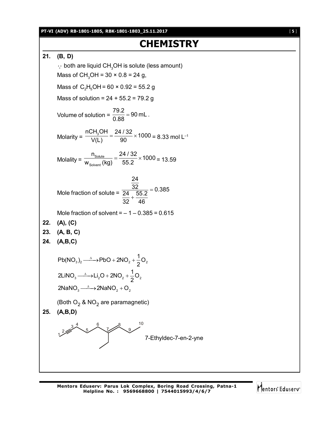# **CHEMISTRY**

**21. (B, D)**  $\cdot$  both are liquid CH<sub>3</sub>OH is solute (less amount) Mass of CH<sub>3</sub>OH =  $30 \times 0.8 = 24$  g, Mass of  $C_2H_5OH = 60 \times 0.92 = 55.2 g$ Mass of solution =  $24 + 55.2 = 79.2$  g Volume of solution =  $\frac{79.2}{0.88}$  = 90 mL. 0.88  $=$ Molarity =  $\frac{nCH_3OH}{(11)} = \frac{24/32}{00} \times 1000$  $\frac{33611}{V(L)} = \frac{21762}{90} \times 1000 = 8.33$  mol L<sup>-1</sup> Molality =  $\frac{1 \text{Solute}}{W_{\text{Solvent}}}$  $\frac{n_{\text{Solute}}}{n} = \frac{24/32}{55.8} \times 1000$  $\frac{W_{\text{Solution}}}{W_{\text{Solvent}}}$  (kg)  $=$   $\frac{2 + 762}{55.2} \times 1000 = 13.59$ Mole fraction of solute = 24  $\frac{32}{24}$  55.2 = 0.385 32 46  $=$  $^{+}$ Mole fraction of solvent  $=$   $-1 - 0.385 = 0.615$ **22. (A), (C) 23. (A, B, C) 24. (A,B,C)**  $3/2$  2  $2 \times 100 + 21102 + 202$ 3  $\times$   $\frac{1}{2}$   $\times$   $\frac{1}{2}$   $\times$   $\frac{1}{2}$   $\frac{1}{2}$ 2NaN $O_3 \longrightarrow 2$ NaN $O_2 + O_2$  $Pb(NO_3)_2 \longrightarrow PbO + 2NO_2 + \frac{1}{2}O$ 2  $2LiNO<sub>3</sub> \longrightarrow Li<sub>2</sub>O + 2NO<sub>2</sub> + \frac{1}{2}O$ 2  $\xrightarrow{\Delta}$ -PbO + 2NO<sub>2</sub> + - $\rightarrow$  Li<sub>2</sub>O + 2NO<sub>2</sub> + (Both O $_2$  & NO $_2$  are paramagnetic) **25. (A,B,D)**  $\frac{2}{2}$  $3<sup>4</sup>$ 5 6 7 8 9 10 7-Ethyldec-7-en-2-yne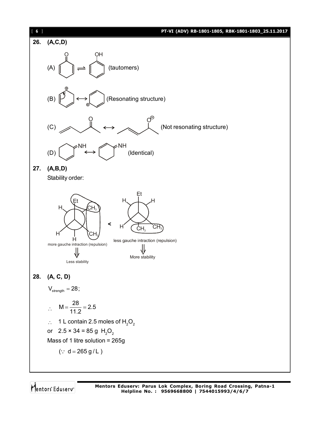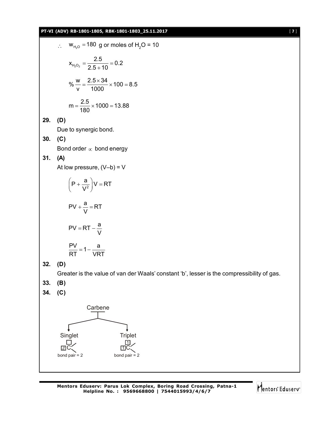#### **PT-VI (ADV) RB-1801-1805, RBK-1801-1803\_25.11.2017** [ **7** ]

∴ W<sub>H<sub>1/2</sub></sub> = 180 g or moles of H<sub>2</sub>O = 10  
\n
$$
X_{H2O2} = \frac{2.5}{2.5 + 10} = 0.2
$$
\n
$$
\% = \frac{2.5 \times 34}{1000} \times 100 = 8.5
$$
\n
$$
m = \frac{2.5}{180} \times 1000 = 13.88
$$
\n29. (D)  
\nDue to synergic bond.  
\n30. (C)  
\nBond order ∞ bond energy  
\n31. (A)  
\nAt low pressure, (V-b) = V  
\n
$$
(P + \frac{a}{V^2})V = RT
$$
\n
$$
PV + \frac{a}{V} = RT
$$
\n
$$
PV = RT - \frac{a}{V}
$$
\n
$$
\frac{PV}{RT} = 1 - \frac{a}{VRT}
$$
\n32. (D)  
\nGreatest is the value of van der Waals' constant 'b', lesser is the compressibility of gas.  
\n33. (B)  
\n34. (C)  
\nCarbene  
\nSingle  
\n
$$
\frac{Gateene}{RT}
$$
\n
$$
\frac{Gace}{dC}
$$
\n
$$
\frac{Gace}{dC}
$$
\n
$$
\frac{Gace}{dC}
$$
\n
$$
\frac{Gace}{dC}
$$
\n
$$
\frac{Gace}{dC}
$$
\n
$$
\frac{Gace}{dC}
$$
\n
$$
\frac{Gace}{dC}
$$
\n
$$
\frac{Gace}{dC}
$$
\n
$$
\frac{Gace}{dC}
$$

Mentors<sup>e</sup> Eduserv<sup>-</sup>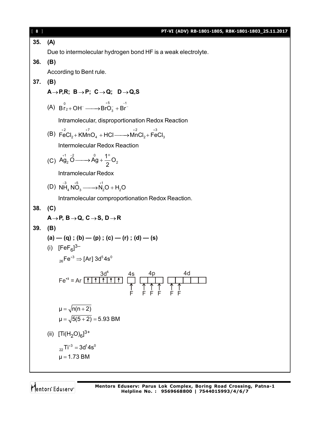| $[ 8 ]$ | PT-VI (ADV) RB-1801-1805, RBK-1801-1803_25.11.2017                                                                                               |
|---------|--------------------------------------------------------------------------------------------------------------------------------------------------|
| 35.     | (A)                                                                                                                                              |
|         | Due to intermolecular hydrogen bond HF is a weak electrolyte.                                                                                    |
| 36.     | (B)                                                                                                                                              |
|         | According to Bent rule.                                                                                                                          |
| 37.     | (B)                                                                                                                                              |
|         | $A \rightarrow P, R$ ; B $\rightarrow P$ ; C $\rightarrow Q$ ; D $\rightarrow Q, S$                                                              |
|         | (A) $B_{r_2+}^0$ OH $\longrightarrow B_{r_2+}^+$ OH $\longrightarrow B_{r_2+}^+$                                                                 |
|         | Intramolecular, disproportionation Redox Reaction                                                                                                |
|         | (B) $\overrightarrow{FeCl}_2 + \overrightarrow{KMnO}_4 + \overrightarrow{HCl} \longrightarrow \overrightarrow{MnCl}_2 + \overrightarrow{FeCl}_3$ |
|         | Intermolecular Redox Reaction                                                                                                                    |
|         | (C) $\overrightarrow{Ag}_2 \overset{+1}{\text{O}} \longrightarrow \overset{0}{\text{Ag}} + \overset{1}{\underset{2}{\text{O}}} O_2$              |
|         | Intramolecular Redox                                                                                                                             |
|         | (D) $NH_4NO_3 \xrightarrow{+5} N_2O + H_2O$                                                                                                      |
|         | Intramolecular comproportionation Redox Reaction.                                                                                                |
| 38.     | (C)                                                                                                                                              |
|         | $A \rightarrow P$ , $B \rightarrow Q$ , $C \rightarrow S$ , $D \rightarrow R$                                                                    |
| 39.     | (B)                                                                                                                                              |
|         | $(a) - (q)$ ; $(b) - (p)$ ; $(c) - (r)$ ; $(d) - (s)$                                                                                            |
|         | (i) $[FeF_6]^{3-}$                                                                                                                               |
|         | $_{26}Fe^{+3} \Rightarrow$ [Ar] 3d <sup>5</sup> 4s <sup>0</sup>                                                                                  |
|         | $\frac{3d^5}{1}$<br>4d<br>4p<br><u>4s</u><br>$Fe+3 = Ar \boxed{\uparrow}$<br>↑<br>F                                                              |
|         | $\mu = \sqrt{n(n+2)}$                                                                                                                            |
|         | $\mu = \sqrt{5(5+2)} = 5.93$ BM                                                                                                                  |
|         | (ii) $[Ti(H_2O)_6]^{3+}$                                                                                                                         |
|         | $_{22}$ Ti <sup>+3</sup> = 3d <sup>1</sup> 4s <sup>0</sup>                                                                                       |
|         | $\mu = 1.73$ BM                                                                                                                                  |
|         |                                                                                                                                                  |

Mentors<sup>®</sup> Eduserv<sup>®</sup>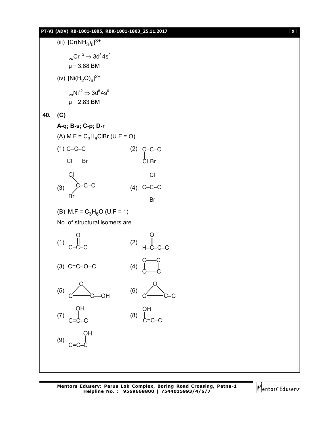

Mentors<sup>e</sup> Eduserv<sup>®</sup>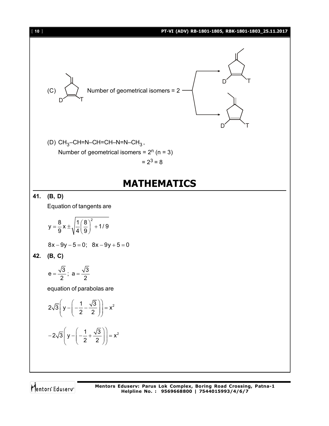

Mentors<sup>®</sup> Eduserv<sup>®</sup>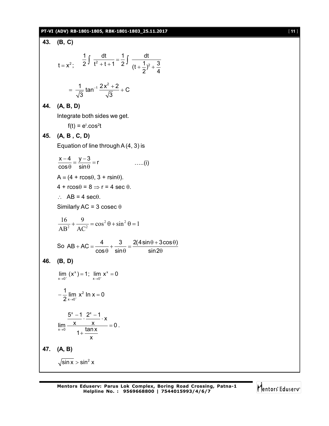#### **PT-VI (ADV) RB-1801-1805, RBK-1801-1803\_25.11.2017** [ **11** ]

| 43. | (B, C)                                                                                                                |
|-----|-----------------------------------------------------------------------------------------------------------------------|
|     | $t = x^2$ ; $\frac{1}{2} \int \frac{dt}{t^2 + t + 1} = \frac{1}{2} \int \frac{dt}{(t + \frac{1}{2})^2 + \frac{3}{4}}$ |
|     | $=\frac{1}{\sqrt{3}}\tan^{-1}\frac{2x^2+2}{\sqrt{3}}+C$                                                               |
| 44. | (A, B, D)                                                                                                             |
|     | Integrate both sides we get.                                                                                          |
|     | $f(t) = e^{t} \cdot \cos^2 t$                                                                                         |
| 45. | (A, B, C, D)                                                                                                          |
|     | Equation of line through $A(4, 3)$ is                                                                                 |
|     | $\frac{x-4}{\cos \theta} = \frac{y-3}{\sin \theta} = r$<br>$\ldots$ (i)                                               |
|     | $A = (4 + r \cos\theta, 3 + r \sin\theta).$                                                                           |
|     | $4 + r \cos \theta = 8 \Rightarrow r = 4 \sec \theta$ .                                                               |
|     | $\therefore$ AB = 4 sec $\theta$ .                                                                                    |
|     | Similarly AC = 3 cosec $\theta$                                                                                       |
|     | $\frac{16}{\text{AB}^2} + \frac{9}{\text{AC}^2} = \cos^2 \theta + \sin^2 \theta = 1$                                  |
|     | So $AB + AC = \frac{4}{\cos \theta} + \frac{3}{\sin \theta} = \frac{2(4 \sin \theta + 3 \cos \theta)}{\sin 2\theta}$  |
| 46. | (B, D)                                                                                                                |
|     | $\lim_{x \to 0^+} (x^x) = 1$ ; $\lim_{x \to 0^+} x^x = 0$                                                             |
|     | $-\frac{1}{2}\lim_{x\to 0^+} x^2 \ln x = 0$                                                                           |
|     | $\frac{5^{x}-1}{x}$ . $\frac{2^{x}-1}{x}$ . x<br>$\frac{x}{1+\frac{\tan x}{x}} = 0.$<br>$\lim_{x\to 0}$               |
| 47. | (A, B)                                                                                                                |
|     | $\sqrt{\sin x}$ > sin <sup>2</sup> x                                                                                  |

Mentors<sup>e</sup> Eduserv<sup>-</sup>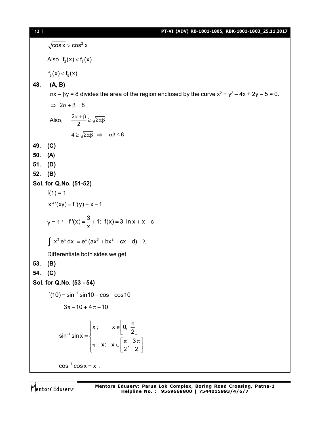$\cos x > \cos^2 x$ Also  $f_2(x) < f_3(x)$  $f_3(x) < f_5(x)$ **48. (A, B)**  $\alpha$ x –  $\beta$ y = 8 divides the area of the region enclosed by the curve x<sup>2</sup> + y<sup>2</sup> – 4x + 2y – 5 = 0.  $\Rightarrow$  2 $\alpha + \beta = 8$ Also,  $\frac{2\alpha+\beta}{2} \geq \sqrt{2\alpha\beta}$  $4 \ge \sqrt{2\alpha\beta} \Rightarrow \alpha\beta \le 8$ **49. (C) 50. (A) 51. (D) 52. (B) Sol. for Q.No. (51-52)**  $f(1) = 1$  $xf'(xy) = f'(y) + x - 1$ y = 1 '  $f'(x) = \frac{3}{x} + 1$ ;  $f(x) = 3 \ln x + x + c$ x  $=-+1$ ; f(x) = 3 ln x + x + 0  $\int x^3 e^x dx = e^x (ax^3 + bx^2 + cx + d) + \lambda$ Differentiate both sides we get **53. (B) 54. (C) Sol. for Q.No. (53 - 54)**  $f(10) = \sin^{-1} \sin 10 + \cos^{-1} \cos 10$  $= 3\pi - 10 + 4\pi - 10$ 1  $x$ ;  $x \in \,] 0,$  $\sin^{-1} \sin x = \begin{cases} 1 & \sin x \\ 1 & \sin x \end{cases}$ x;  $x \in \left[\frac{\pi}{2}, \frac{3}{4}\right]$  $2^{7}$  2 ÷,  $x; \quad x \in \left[0, \frac{\pi}{2}\right]$  $=\{$  $\left[\pi - x; x \in \left[\frac{\pi}{2}, \frac{3\pi}{2}\right]\right]$  $cos^{-1} cos x = x$ .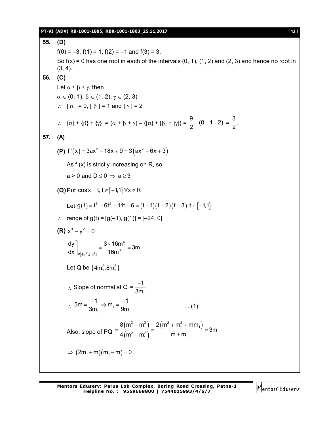#### **PT-VI (ADV) RB-1801-1805, RBK-1801-1803\_25.11.2017** [ **13** ]

**55. (D)**  $f(0) = -3$ ,  $f(1) = 1$ ,  $f(2) = -1$  and  $f(3) = 3$ . So  $f(x) = 0$  has one root in each of the intervals  $(0, 1)$ ,  $(1, 2)$  and  $(2, 3)$  and hence no root in  $(3, 4)$ . **56. (C)** Let  $\alpha \leq \beta \leq \gamma$ , then  $\alpha \in (0, 1), \beta \in (1, 2), \gamma \in (2, 3)$  $\therefore$  [  $\alpha$  ] = 0, [  $\beta$  ] = 1 and [  $\gamma$  ] = 2  $\therefore \quad {\alpha} + {\beta} + {\gamma} = {\alpha + \beta + \gamma} - ({\alpha} + {\beta} + {\gamma})$  $\frac{9}{2}$  – (0 + 1 + 2)  $\frac{9}{2}$  - (0 + 1 + 2) =  $\frac{3}{2}$  $\frac{1}{2}$ . **57. (A) (P)**  $f'(x) = 3ax^2 - 18x + 9 = 3(ax^2 - 6x + 3)$ As f (x) is strictly increasing on R, so  $a > 0$  and  $D \le 0 \Rightarrow a \ge 3$ **(Q)** Put  $\cos x = t$ ,  $t \in [-1,1]$   $\forall x \in R$ Let  $g(t) = t^3 - 6t^2 + 11t - 6 = (t - 1)(t - 2)(t - 3), t \in [-1,1]$ : range of  $g(t) = [g(-1), g(1)] = [-24, 0]$ **(R)**  $x^3 - y^2 = 0$  $(4m^2,8m^3)$ 4  $_{\mathsf{P}(4\mathsf{m}^2,8\mathsf{m}^3)}$  16 $\mathsf{m}^3$  $\left| \frac{dy}{dx} \right| = \frac{3 \times 16m^4}{10^{3}} = 3m$ dx  $\vert_{\rm p\vert 4m^2, 8m^3 \vert}$  16m  $\int_{P(4m^2,8m^3)} = \frac{3 \times 16m^4}{16m^3} = 3$ Let Q be  $(4m_1^2, 8m_1^3)$  $\therefore$  Slope of normal at Q 1 1 3m  $=\frac{-}{2}$  $\therefore$  3m =  $\frac{1}{3m_1} \Rightarrow m_1$  $3m = \frac{-1}{2} \Rightarrow m_1 = \frac{-1}{2}$  $3m<sub>1</sub>$  9m  $=\frac{-1}{3m} \Rightarrow m_1 = \frac{-1}{9m}$  .... (1) Also, slope of PQ  $(m<sup>o</sup> - m<sub>1</sub><sup>o</sup>)$  $(m^2-m_1^2)$  $(3 - m_1^3)$  2  $(m^2 + m_1^2 + mm_1)$  $2^2 - m_1^2$  m + m<sub>1</sub>  $8(m^3 - m_1^3)$   $2(m^2 + m_1^2 + mm)$ 3m  $4(m^2 - m_1^2)$  m + m  $-m_1^3$  2 (m<sup>2</sup> + m<sub>1</sub><sup>2</sup> + n  $=\frac{1}{12(2-2)}=\frac{1}{2}=\frac{1}{2}=\frac{1}{2}=\frac{1}{2}$  $-m_1^2$  ) m +  $\Rightarrow$   $(2m_1 + m)(m_1 - m) = 0$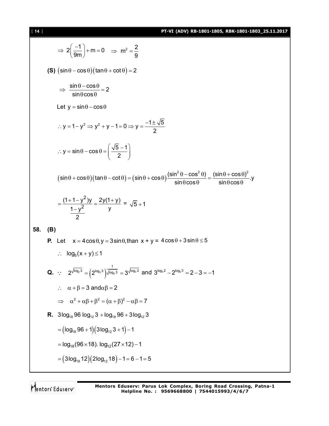[ **14** ] **PT-VI (ADV) RB-1801-1805, RBK-1801-1803\_25.11.2017**

$$
\Rightarrow 2\left(\frac{-1}{9m}\right) + m = 0 \Rightarrow m^2 = \frac{2}{9}
$$
\n
$$
(5) \left(\sin\theta - \cos\theta\right) (\tan\theta + \cot\theta) = 2
$$
\n
$$
\Rightarrow \frac{\sin\theta - \cos\theta}{\sin\theta\cos\theta} = 2
$$
\nLet  $y = \sin\theta - \cos\theta$   
\n
$$
\therefore y = 1 - y^2 \Rightarrow y^2 + y - 1 = 0 \Rightarrow y = \frac{-1 \pm \sqrt{5}}{2}
$$
\n
$$
\therefore y = \sin\theta - \cos\theta = \left(\frac{\sqrt{5} - 1}{2}\right)
$$
\n
$$
(\sin\theta + \cos\theta)(\tan\theta - \cot\theta) = (\sin\theta + \cos\theta)\frac{(\sin^2\theta - \cos^2\theta)}{\sin\theta\cos\theta} = \frac{(\sin\theta + \cos\theta)^2}{\sin\theta\cos\theta} \text{,}
$$
\n
$$
= \frac{(1 + 1 - y^2)y}{\frac{1 - y^2}{2}} = \frac{2y(1 + y)}{y} = \sqrt{5} + 1
$$
\n58. (B)  
\nP. Let  $x = 4\cos\theta, y = 3\sin\theta, \tan x + y = 4\cos\theta + 3\sin\theta \le 5$   
\n
$$
\therefore \log_5(x + y) \le 1
$$
\nQ. 
$$
\therefore 2^{\sqrt{\log_2 3}} = (2^{\log_2 3})^{\frac{1}{\sqrt{\log_3 3}}} = 3^{\sqrt{\log_3 2}} \text{ and } 3^{\log_3 2} - 2^{\log_3 2} = 2 - 3 = -1
$$
\n
$$
\therefore \alpha + \beta = 3 \text{ and } \alpha\beta = 2
$$
\n
$$
\Rightarrow \alpha^2 + \alpha\beta + \beta^2 = (\alpha + \beta)^2 - \alpha\beta = 7
$$
\nR.  $3\log_{18} 96 \log_{12} 3 + \log_{18} 96 + 3\log_{12} 3$ \n
$$
= (\log_{18} 96 + 1)(3\log_{12} 3 + 1) - 1
$$
\n
$$
= \log_{18}(96 \times 18) \log_{12}(27 \times 12) - 1
$$

Mentors<sup>e</sup> Eduserv<sup>-</sup>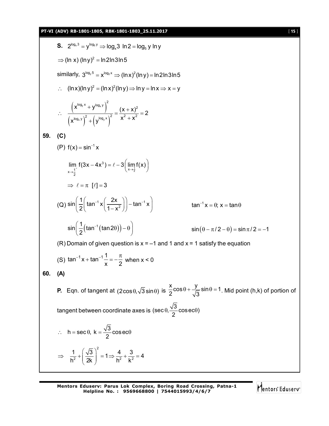S. 2<sup>log<sub>2</sub>, 3</sup> = y<sup>log<sub>2</sub>, 3</sup> ln 2 = log<sub>3</sub> 3 ln 2 = log<sub>3</sub> y ln y  
\n⇒ (ln x) (lny)<sup>2</sup> = ln 2ln 3ln 5  
\nsimilarity, 3<sup>log<sub>2</sub>, 5</sup> = x<sup>log<sub>2</sub> ⇒ (lnx)<sup>2</sup>(lny) = ln 2ln 3ln 5  
\n∴ (lnx)(lny)<sup>2</sup> = (lnx)<sup>2</sup>(lny) ⇒ ln y = ln x ⇒ x = y  
\n∴ 
$$
\frac{(xlog2, x + ylog2)2}{(xlog2, y)2 + (ylog2, x)2} = \frac{(x + x)2}{x2 + x2} = 2
$$
  
\nS9. (C)  
\n(P) f(x) = sin<sup>-1</sup>x  
\n
$$
\lim_{x \to \frac{1}{2}^{-1}} f(3x - 4x3) = f - 3\left(\lim_{x \to \frac{1}{2}} f(x)\right)
$$
\n⇒  $f = \pi$  [f] = 3  
\n(Q) sin $\left(\frac{1}{2}(\tan^{-1}(\tan 2\theta)) - \theta\right)$  sin(θ – π/2 = θ; x = tan θ  
\nsin $\left(\frac{1}{2}(\tan^{-1}(\tan 2\theta)) - \theta\right)$  sin(θ – π/2 – θ) = sin π/2 = -1  
\n(R) Domain of given question is x = -1 and 1 and x = 1 satisfy the equation  
\n(S) tan<sup>-1</sup>x + tan<sup>-1</sup> $\frac{1}{x}$  =  $-\frac{\pi}{2}$  when x < 0  
\n60. (A)  
\nP. Eqn. of tangent at (2cos θ, √3 sin θ) is  $\frac{x}{2}$ cosθ +  $\frac{y}{\sqrt{3}}$  sin θ = 1. Mid point (h,k) of portion of  
\ntangent between coordinate axes is (sec θ,  $\frac{\sqrt{3}}{2}$  cosece0)  
\n∴ h = sec θ, k =  $\frac{\sqrt{3}}{2}$  cosec ∈ θ  
\n⇒  $\$</sup> 

Mentors<sup>e</sup> Eduserv<sup>-</sup>